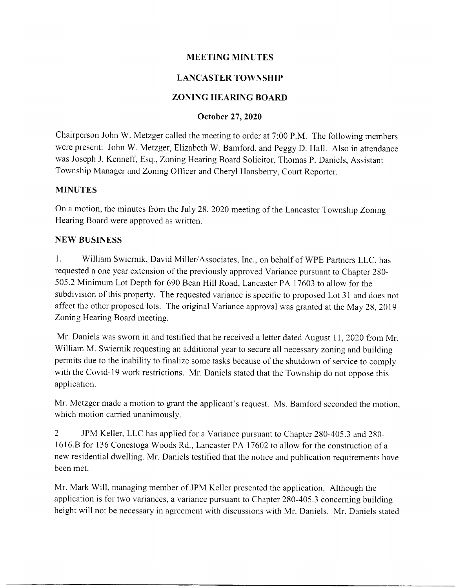# MEETING MINUTES

# LANCASTER TOWNSHIP

# ZONING HEARING BOARD

### October 27,2020

Chairperson John W. Metzger called the meeting to order at 7:00 P.M. The following members were present: John W. Metzger, Elizabeth W. Bamford, and Peggy D. Hall. Also in attendance was Joseph J. Kenneff, Esq., Zoning Hearing Board Solicitor, Thomas P. Daniels, Assistant Township Manager and Zoning Officer and Cheryl Hansberry, Court Reporter.

### MINUTES

On a motion, the minutes from the July 28, 2020 meeting of the Lancaster Township Zoning Hearing Board were approved as written.

# NEW BUSINESS

l. William Swiernik, David Miller/Associates, Inc., on behalf of WPE Partners LLC, has requested a one year extension of the previously approved Variance pursuant to Chapter 280- 505.2 Minimum Lot Depth for 690 Bean Hill Road, Lancaster PA 17603 to allow for the subdivision of this property. The requested variance is specific to proposed Lot 31 and does not affect the other proposed lots. The original Variance approval was granted at the May 28, 2019 Zoning Hearing Board meeting.

Mr. Daniels was sworn in and testified that he received a letter dated August 11, 2020 from Mr. William M. Swiernik requesting an additional year to secure all necessary zoning and building permits due to the inability to finalize some tasks because of the shutdown of seruice to comply with the Covid-19 work restrictions. Mr. Daniels stated that the Township do not oppose this application.

Mr. Metzger made a motion to grant the applicant's request. Ms. Bamford seconded the motion, which motion carried unanimously.

2 JPM Keller, LLC has applied for a Variance pursuant to Chapter 280-405.3 and 280 l6 l6.8 for 136 Conestoga Woods Rd., Lancaster PA 17 602 to allow for the construction of <sup>a</sup> new residential dwelling. Mr. Daniels testified that the notice and publication requirements have been met.

Mr. Mark Will, managing member of JPM Keller presented the application. Although the application is for two variances, a variance pursuant to Chapter 280-405.3 conceming building height will not be necessary in agreement with discussions with Mr. Daniels. Mr. Daniels stated